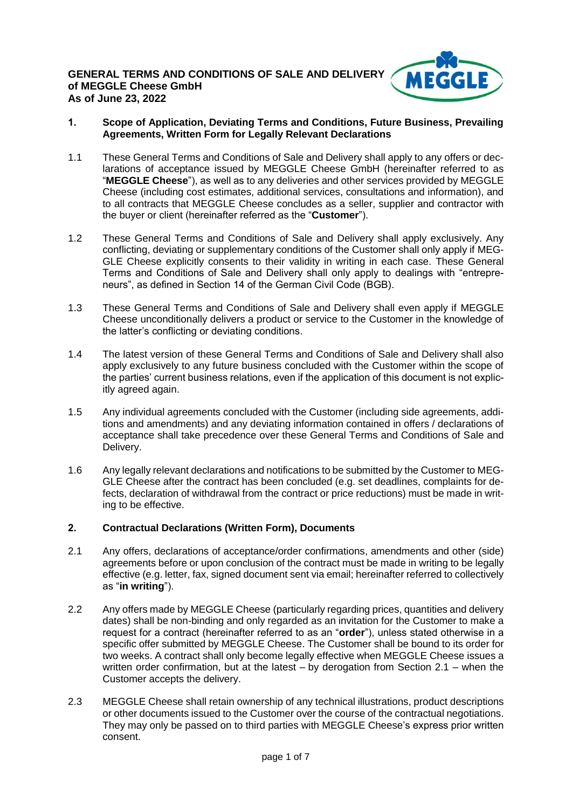

## **1. Scope of Application, Deviating Terms and Conditions, Future Business, Prevailing Agreements, Written Form for Legally Relevant Declarations**

- 1.1 These General Terms and Conditions of Sale and Delivery shall apply to any offers or declarations of acceptance issued by MEGGLE Cheese GmbH (hereinafter referred to as "**MEGGLE Cheese**"), as well as to any deliveries and other services provided by MEGGLE Cheese (including cost estimates, additional services, consultations and information), and to all contracts that MEGGLE Cheese concludes as a seller, supplier and contractor with the buyer or client (hereinafter referred as the "**Customer**").
- 1.2 These General Terms and Conditions of Sale and Delivery shall apply exclusively. Any conflicting, deviating or supplementary conditions of the Customer shall only apply if MEG-GLE Cheese explicitly consents to their validity in writing in each case. These General Terms and Conditions of Sale and Delivery shall only apply to dealings with "entrepreneurs", as defined in Section 14 of the German Civil Code (BGB).
- 1.3 These General Terms and Conditions of Sale and Delivery shall even apply if MEGGLE Cheese unconditionally delivers a product or service to the Customer in the knowledge of the latter's conflicting or deviating conditions.
- 1.4 The latest version of these General Terms and Conditions of Sale and Delivery shall also apply exclusively to any future business concluded with the Customer within the scope of the parties' current business relations, even if the application of this document is not explicitly agreed again.
- 1.5 Any individual agreements concluded with the Customer (including side agreements, additions and amendments) and any deviating information contained in offers / declarations of acceptance shall take precedence over these General Terms and Conditions of Sale and Delivery.
- 1.6 Any legally relevant declarations and notifications to be submitted by the Customer to MEG-GLE Cheese after the contract has been concluded (e.g. set deadlines, complaints for defects, declaration of withdrawal from the contract or price reductions) must be made in writing to be effective.

# **2. Contractual Declarations (Written Form), Documents**

- 2.1 Any offers, declarations of acceptance/order confirmations, amendments and other (side) agreements before or upon conclusion of the contract must be made in writing to be legally effective (e.g. letter, fax, signed document sent via email; hereinafter referred to collectively as "**in writing**").
- 2.2 Any offers made by MEGGLE Cheese (particularly regarding prices, quantities and delivery dates) shall be non-binding and only regarded as an invitation for the Customer to make a request for a contract (hereinafter referred to as an "**order**"), unless stated otherwise in a specific offer submitted by MEGGLE Cheese. The Customer shall be bound to its order for two weeks. A contract shall only become legally effective when MEGGLE Cheese issues a written order confirmation, but at the latest  $-$  by derogation from Section 2.1 – when the Customer accepts the delivery.
- 2.3 MEGGLE Cheese shall retain ownership of any technical illustrations, product descriptions or other documents issued to the Customer over the course of the contractual negotiations. They may only be passed on to third parties with MEGGLE Cheese's express prior written consent.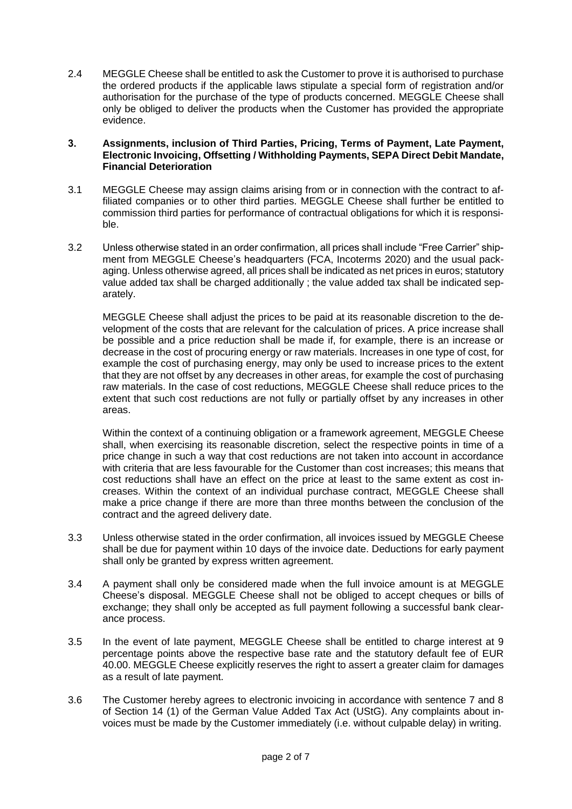2.4 MEGGLE Cheese shall be entitled to ask the Customer to prove it is authorised to purchase the ordered products if the applicable laws stipulate a special form of registration and/or authorisation for the purchase of the type of products concerned. MEGGLE Cheese shall only be obliged to deliver the products when the Customer has provided the appropriate evidence.

### **3. Assignments, inclusion of Third Parties, Pricing, Terms of Payment, Late Payment, Electronic Invoicing, Offsetting / Withholding Payments, SEPA Direct Debit Mandate, Financial Deterioration**

- 3.1 MEGGLE Cheese may assign claims arising from or in connection with the contract to affiliated companies or to other third parties. MEGGLE Cheese shall further be entitled to commission third parties for performance of contractual obligations for which it is responsible.
- 3.2 Unless otherwise stated in an order confirmation, all prices shall include "Free Carrier" shipment from MEGGLE Cheese's headquarters (FCA, Incoterms 2020) and the usual packaging. Unless otherwise agreed, all prices shall be indicated as net prices in euros; statutory value added tax shall be charged additionally ; the value added tax shall be indicated separately.

MEGGLE Cheese shall adjust the prices to be paid at its reasonable discretion to the development of the costs that are relevant for the calculation of prices. A price increase shall be possible and a price reduction shall be made if, for example, there is an increase or decrease in the cost of procuring energy or raw materials. Increases in one type of cost, for example the cost of purchasing energy, may only be used to increase prices to the extent that they are not offset by any decreases in other areas, for example the cost of purchasing raw materials. In the case of cost reductions, MEGGLE Cheese shall reduce prices to the extent that such cost reductions are not fully or partially offset by any increases in other areas.

Within the context of a continuing obligation or a framework agreement, MEGGLE Cheese shall, when exercising its reasonable discretion, select the respective points in time of a price change in such a way that cost reductions are not taken into account in accordance with criteria that are less favourable for the Customer than cost increases; this means that cost reductions shall have an effect on the price at least to the same extent as cost increases. Within the context of an individual purchase contract, MEGGLE Cheese shall make a price change if there are more than three months between the conclusion of the contract and the agreed delivery date.

- 3.3 Unless otherwise stated in the order confirmation, all invoices issued by MEGGLE Cheese shall be due for payment within 10 days of the invoice date. Deductions for early payment shall only be granted by express written agreement.
- 3.4 A payment shall only be considered made when the full invoice amount is at MEGGLE Cheese's disposal. MEGGLE Cheese shall not be obliged to accept cheques or bills of exchange; they shall only be accepted as full payment following a successful bank clearance process.
- 3.5 In the event of late payment, MEGGLE Cheese shall be entitled to charge interest at 9 percentage points above the respective base rate and the statutory default fee of EUR 40.00. MEGGLE Cheese explicitly reserves the right to assert a greater claim for damages as a result of late payment.
- 3.6 The Customer hereby agrees to electronic invoicing in accordance with sentence 7 and 8 of Section 14 (1) of the German Value Added Tax Act (UStG). Any complaints about invoices must be made by the Customer immediately (i.e. without culpable delay) in writing.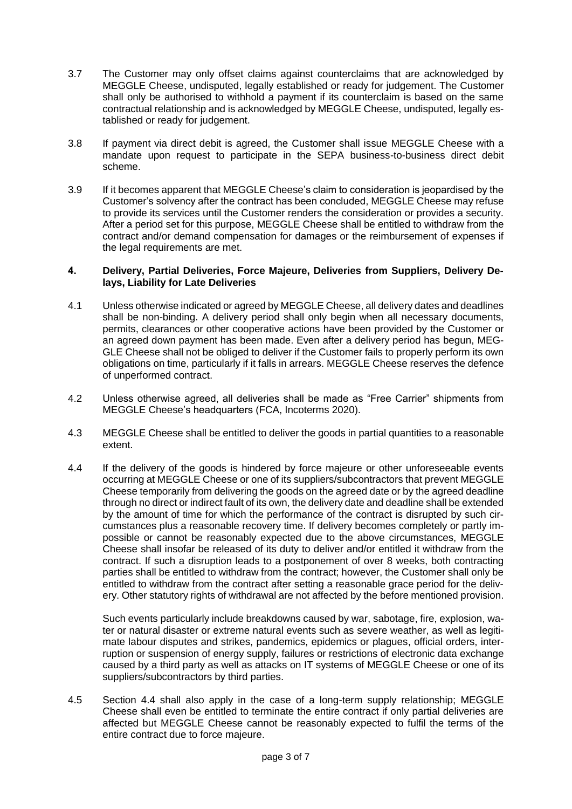- 3.7 The Customer may only offset claims against counterclaims that are acknowledged by MEGGLE Cheese, undisputed, legally established or ready for judgement. The Customer shall only be authorised to withhold a payment if its counterclaim is based on the same contractual relationship and is acknowledged by MEGGLE Cheese, undisputed, legally established or ready for judgement.
- 3.8 If payment via direct debit is agreed, the Customer shall issue MEGGLE Cheese with a mandate upon request to participate in the SEPA business-to-business direct debit scheme.
- 3.9 If it becomes apparent that MEGGLE Cheese's claim to consideration is jeopardised by the Customer's solvency after the contract has been concluded, MEGGLE Cheese may refuse to provide its services until the Customer renders the consideration or provides a security. After a period set for this purpose, MEGGLE Cheese shall be entitled to withdraw from the contract and/or demand compensation for damages or the reimbursement of expenses if the legal requirements are met.

### **4. Delivery, Partial Deliveries, Force Majeure, Deliveries from Suppliers, Delivery Delays, Liability for Late Deliveries**

- 4.1 Unless otherwise indicated or agreed by MEGGLE Cheese, all delivery dates and deadlines shall be non-binding. A delivery period shall only begin when all necessary documents, permits, clearances or other cooperative actions have been provided by the Customer or an agreed down payment has been made. Even after a delivery period has begun, MEG-GLE Cheese shall not be obliged to deliver if the Customer fails to properly perform its own obligations on time, particularly if it falls in arrears. MEGGLE Cheese reserves the defence of unperformed contract.
- 4.2 Unless otherwise agreed, all deliveries shall be made as "Free Carrier" shipments from MEGGLE Cheese's headquarters (FCA, Incoterms 2020).
- 4.3 MEGGLE Cheese shall be entitled to deliver the goods in partial quantities to a reasonable extent.
- 4.4 If the delivery of the goods is hindered by force majeure or other unforeseeable events occurring at MEGGLE Cheese or one of its suppliers/subcontractors that prevent MEGGLE Cheese temporarily from delivering the goods on the agreed date or by the agreed deadline through no direct or indirect fault of its own, the delivery date and deadline shall be extended by the amount of time for which the performance of the contract is disrupted by such circumstances plus a reasonable recovery time. If delivery becomes completely or partly impossible or cannot be reasonably expected due to the above circumstances, MEGGLE Cheese shall insofar be released of its duty to deliver and/or entitled it withdraw from the contract. If such a disruption leads to a postponement of over 8 weeks, both contracting parties shall be entitled to withdraw from the contract; however, the Customer shall only be entitled to withdraw from the contract after setting a reasonable grace period for the delivery. Other statutory rights of withdrawal are not affected by the before mentioned provision.

Such events particularly include breakdowns caused by war, sabotage, fire, explosion, water or natural disaster or extreme natural events such as severe weather, as well as legitimate labour disputes and strikes, pandemics, epidemics or plagues, official orders, interruption or suspension of energy supply, failures or restrictions of electronic data exchange caused by a third party as well as attacks on IT systems of MEGGLE Cheese or one of its suppliers/subcontractors by third parties.

4.5 Section 4.4 shall also apply in the case of a long-term supply relationship; MEGGLE Cheese shall even be entitled to terminate the entire contract if only partial deliveries are affected but MEGGLE Cheese cannot be reasonably expected to fulfil the terms of the entire contract due to force majeure.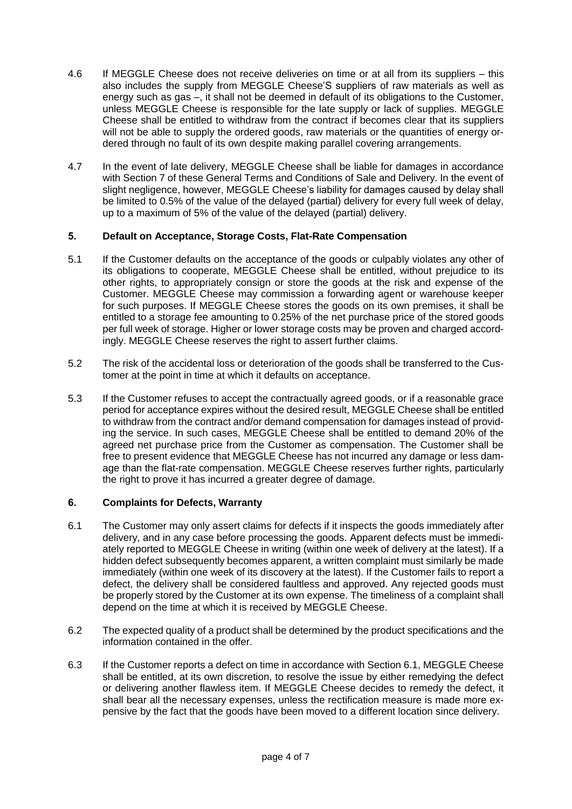- 4.6 If MEGGLE Cheese does not receive deliveries on time or at all from its suppliers this also includes the supply from MEGGLE Cheese'S suppliers of raw materials as well as energy such as gas –, it shall not be deemed in default of its obligations to the Customer, unless MEGGLE Cheese is responsible for the late supply or lack of supplies. MEGGLE Cheese shall be entitled to withdraw from the contract if becomes clear that its suppliers will not be able to supply the ordered goods, raw materials or the quantities of energy ordered through no fault of its own despite making parallel covering arrangements.
- 4.7 In the event of late delivery, MEGGLE Cheese shall be liable for damages in accordance with Section 7 of these General Terms and Conditions of Sale and Delivery. In the event of slight negligence, however, MEGGLE Cheese's liability for damages caused by delay shall be limited to 0.5% of the value of the delayed (partial) delivery for every full week of delay, up to a maximum of 5% of the value of the delayed (partial) delivery.

# **5. Default on Acceptance, Storage Costs, Flat-Rate Compensation**

- 5.1 If the Customer defaults on the acceptance of the goods or culpably violates any other of its obligations to cooperate, MEGGLE Cheese shall be entitled, without prejudice to its other rights, to appropriately consign or store the goods at the risk and expense of the Customer. MEGGLE Cheese may commission a forwarding agent or warehouse keeper for such purposes. If MEGGLE Cheese stores the goods on its own premises, it shall be entitled to a storage fee amounting to 0.25% of the net purchase price of the stored goods per full week of storage. Higher or lower storage costs may be proven and charged accordingly. MEGGLE Cheese reserves the right to assert further claims.
- 5.2 The risk of the accidental loss or deterioration of the goods shall be transferred to the Customer at the point in time at which it defaults on acceptance.
- 5.3 If the Customer refuses to accept the contractually agreed goods, or if a reasonable grace period for acceptance expires without the desired result, MEGGLE Cheese shall be entitled to withdraw from the contract and/or demand compensation for damages instead of providing the service. In such cases, MEGGLE Cheese shall be entitled to demand 20% of the agreed net purchase price from the Customer as compensation. The Customer shall be free to present evidence that MEGGLE Cheese has not incurred any damage or less damage than the flat-rate compensation. MEGGLE Cheese reserves further rights, particularly the right to prove it has incurred a greater degree of damage.

# **6. Complaints for Defects, Warranty**

- 6.1 The Customer may only assert claims for defects if it inspects the goods immediately after delivery, and in any case before processing the goods. Apparent defects must be immediately reported to MEGGLE Cheese in writing (within one week of delivery at the latest). If a hidden defect subsequently becomes apparent, a written complaint must similarly be made immediately (within one week of its discovery at the latest). If the Customer fails to report a defect, the delivery shall be considered faultless and approved. Any rejected goods must be properly stored by the Customer at its own expense. The timeliness of a complaint shall depend on the time at which it is received by MEGGLE Cheese.
- 6.2 The expected quality of a product shall be determined by the product specifications and the information contained in the offer.
- 6.3 If the Customer reports a defect on time in accordance with Section 6.1, MEGGLE Cheese shall be entitled, at its own discretion, to resolve the issue by either remedying the defect or delivering another flawless item. If MEGGLE Cheese decides to remedy the defect, it shall bear all the necessary expenses, unless the rectification measure is made more expensive by the fact that the goods have been moved to a different location since delivery.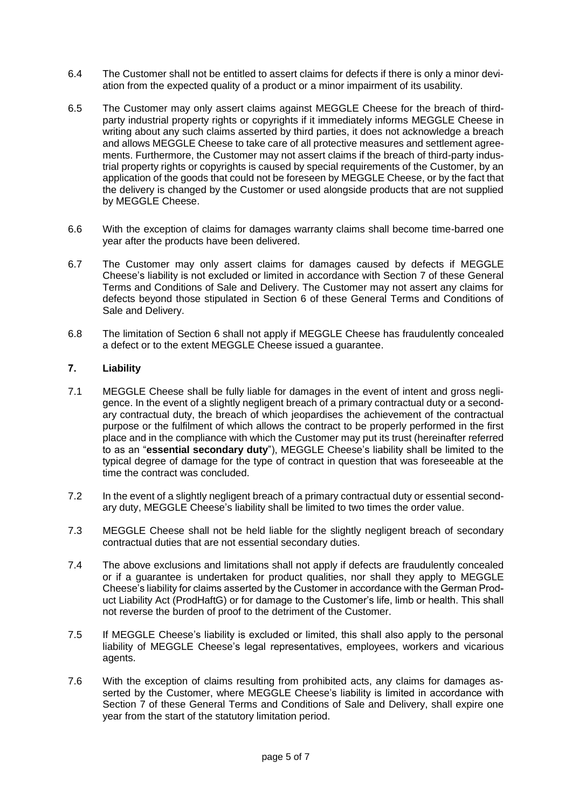- 6.4 The Customer shall not be entitled to assert claims for defects if there is only a minor deviation from the expected quality of a product or a minor impairment of its usability.
- 6.5 The Customer may only assert claims against MEGGLE Cheese for the breach of thirdparty industrial property rights or copyrights if it immediately informs MEGGLE Cheese in writing about any such claims asserted by third parties, it does not acknowledge a breach and allows MEGGLE Cheese to take care of all protective measures and settlement agreements. Furthermore, the Customer may not assert claims if the breach of third-party industrial property rights or copyrights is caused by special requirements of the Customer, by an application of the goods that could not be foreseen by MEGGLE Cheese, or by the fact that the delivery is changed by the Customer or used alongside products that are not supplied by MEGGLE Cheese.
- 6.6 With the exception of claims for damages warranty claims shall become time-barred one year after the products have been delivered.
- 6.7 The Customer may only assert claims for damages caused by defects if MEGGLE Cheese's liability is not excluded or limited in accordance with Section 7 of these General Terms and Conditions of Sale and Delivery. The Customer may not assert any claims for defects beyond those stipulated in Section 6 of these General Terms and Conditions of Sale and Delivery.
- 6.8 The limitation of Section 6 shall not apply if MEGGLE Cheese has fraudulently concealed a defect or to the extent MEGGLE Cheese issued a guarantee.

## **7. Liability**

- 7.1 MEGGLE Cheese shall be fully liable for damages in the event of intent and gross negligence. In the event of a slightly negligent breach of a primary contractual duty or a secondary contractual duty, the breach of which jeopardises the achievement of the contractual purpose or the fulfilment of which allows the contract to be properly performed in the first place and in the compliance with which the Customer may put its trust (hereinafter referred to as an "**essential secondary duty**"), MEGGLE Cheese's liability shall be limited to the typical degree of damage for the type of contract in question that was foreseeable at the time the contract was concluded.
- 7.2 In the event of a slightly negligent breach of a primary contractual duty or essential secondary duty, MEGGLE Cheese's liability shall be limited to two times the order value.
- 7.3 MEGGLE Cheese shall not be held liable for the slightly negligent breach of secondary contractual duties that are not essential secondary duties.
- 7.4 The above exclusions and limitations shall not apply if defects are fraudulently concealed or if a guarantee is undertaken for product qualities, nor shall they apply to MEGGLE Cheese's liability for claims asserted by the Customer in accordance with the German Product Liability Act (ProdHaftG) or for damage to the Customer's life, limb or health. This shall not reverse the burden of proof to the detriment of the Customer.
- 7.5 If MEGGLE Cheese's liability is excluded or limited, this shall also apply to the personal liability of MEGGLE Cheese's legal representatives, employees, workers and vicarious agents.
- 7.6 With the exception of claims resulting from prohibited acts, any claims for damages asserted by the Customer, where MEGGLE Cheese's liability is limited in accordance with Section 7 of these General Terms and Conditions of Sale and Delivery, shall expire one year from the start of the statutory limitation period.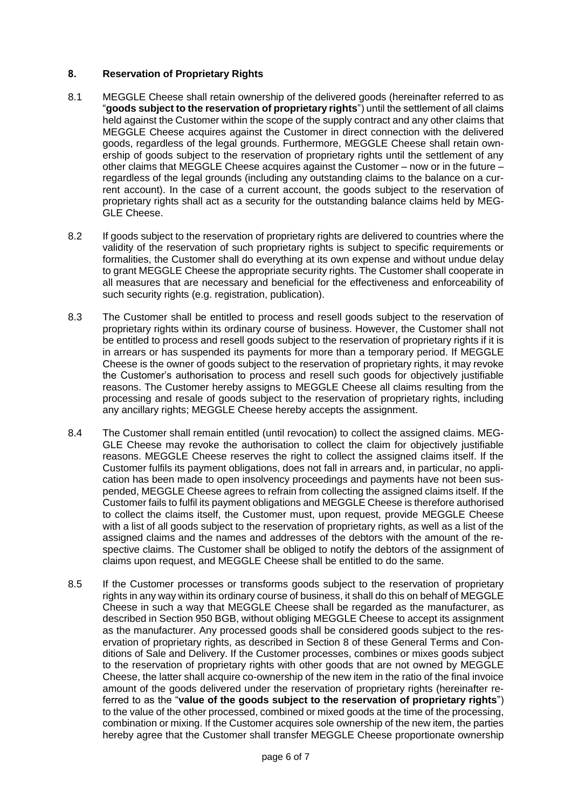# **8. Reservation of Proprietary Rights**

- 8.1 MEGGLE Cheese shall retain ownership of the delivered goods (hereinafter referred to as "**goods subject to the reservation of proprietary rights**") until the settlement of all claims held against the Customer within the scope of the supply contract and any other claims that MEGGLE Cheese acquires against the Customer in direct connection with the delivered goods, regardless of the legal grounds. Furthermore, MEGGLE Cheese shall retain ownership of goods subject to the reservation of proprietary rights until the settlement of any other claims that MEGGLE Cheese acquires against the Customer – now or in the future – regardless of the legal grounds (including any outstanding claims to the balance on a current account). In the case of a current account, the goods subject to the reservation of proprietary rights shall act as a security for the outstanding balance claims held by MEG-GLE Cheese.
- 8.2 If goods subject to the reservation of proprietary rights are delivered to countries where the validity of the reservation of such proprietary rights is subject to specific requirements or formalities, the Customer shall do everything at its own expense and without undue delay to grant MEGGLE Cheese the appropriate security rights. The Customer shall cooperate in all measures that are necessary and beneficial for the effectiveness and enforceability of such security rights (e.g. registration, publication).
- 8.3 The Customer shall be entitled to process and resell goods subject to the reservation of proprietary rights within its ordinary course of business. However, the Customer shall not be entitled to process and resell goods subject to the reservation of proprietary rights if it is in arrears or has suspended its payments for more than a temporary period. If MEGGLE Cheese is the owner of goods subject to the reservation of proprietary rights, it may revoke the Customer's authorisation to process and resell such goods for objectively justifiable reasons. The Customer hereby assigns to MEGGLE Cheese all claims resulting from the processing and resale of goods subject to the reservation of proprietary rights, including any ancillary rights; MEGGLE Cheese hereby accepts the assignment.
- 8.4 The Customer shall remain entitled (until revocation) to collect the assigned claims. MEG-GLE Cheese may revoke the authorisation to collect the claim for objectively justifiable reasons. MEGGLE Cheese reserves the right to collect the assigned claims itself. If the Customer fulfils its payment obligations, does not fall in arrears and, in particular, no application has been made to open insolvency proceedings and payments have not been suspended, MEGGLE Cheese agrees to refrain from collecting the assigned claims itself. If the Customer fails to fulfil its payment obligations and MEGGLE Cheese is therefore authorised to collect the claims itself, the Customer must, upon request, provide MEGGLE Cheese with a list of all goods subject to the reservation of proprietary rights, as well as a list of the assigned claims and the names and addresses of the debtors with the amount of the respective claims. The Customer shall be obliged to notify the debtors of the assignment of claims upon request, and MEGGLE Cheese shall be entitled to do the same.
- 8.5 If the Customer processes or transforms goods subject to the reservation of proprietary rights in any way within its ordinary course of business, it shall do this on behalf of MEGGLE Cheese in such a way that MEGGLE Cheese shall be regarded as the manufacturer, as described in Section 950 BGB, without obliging MEGGLE Cheese to accept its assignment as the manufacturer. Any processed goods shall be considered goods subject to the reservation of proprietary rights, as described in Section 8 of these General Terms and Conditions of Sale and Delivery. If the Customer processes, combines or mixes goods subject to the reservation of proprietary rights with other goods that are not owned by MEGGLE Cheese, the latter shall acquire co-ownership of the new item in the ratio of the final invoice amount of the goods delivered under the reservation of proprietary rights (hereinafter referred to as the "**value of the goods subject to the reservation of proprietary rights**") to the value of the other processed, combined or mixed goods at the time of the processing, combination or mixing. If the Customer acquires sole ownership of the new item, the parties hereby agree that the Customer shall transfer MEGGLE Cheese proportionate ownership